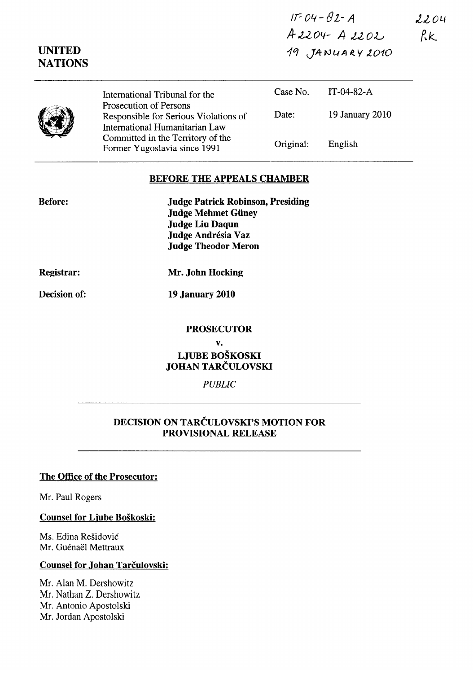Ir=Olf-fJZ-A  $2204$  $Rk$ ,4- OU *04-* A .tel *OJ....;*  19 JANUARY 2010

|  | International Tribunal for the                                                                    | Case No.  | $IT-04-82-A$    |  |
|--|---------------------------------------------------------------------------------------------------|-----------|-----------------|--|
|  | Prosecution of Persons<br>Responsible for Serious Violations of<br>International Humanitarian Law | Date:     | 19 January 2010 |  |
|  | Committed in the Territory of the<br>Former Yugoslavia since 1991                                 | Original: | English         |  |

### **BEFORE THE APPEALS CHAMBER**

| <b>Before:</b> | <b>Judge Patrick Robinson, Presiding</b> |
|----------------|------------------------------------------|
|                | <b>Judge Mehmet Güney</b>                |
|                | <b>Judge Liu Daqun</b>                   |
|                | Judge Andrésia Vaz                       |
|                | <b>Judge Theodor Meron</b>               |
|                |                                          |

**Registrar:** 

**UNITED NATIONS** 

**Mr. John Hocking** 

**Decision of:** 

**19 January 2010** 

#### **PROSECUTOR**

**v.** 

**LJUBE BOŠKOSKI JOHAN** TARČULOVSKI

## *PUBLIC*

# **DECISION ON** TARČULOVSKI'S **MOTION FOR PROVISIONAL RELEASE**

### **The Office of the Prosecutor:**

Mr. Paul Rogers

**Counsel for Ljube Boškoski:** 

Ms. Edina Rešidović Mr. Guénaël Mettraux

#### **Counsel for Johan** Tarčulovski:

Mr. Alan M. Dershowitz Mr. Nathan Z. Dershowitz Mr. Antonio Apostolski Mr. Jordan Apostolski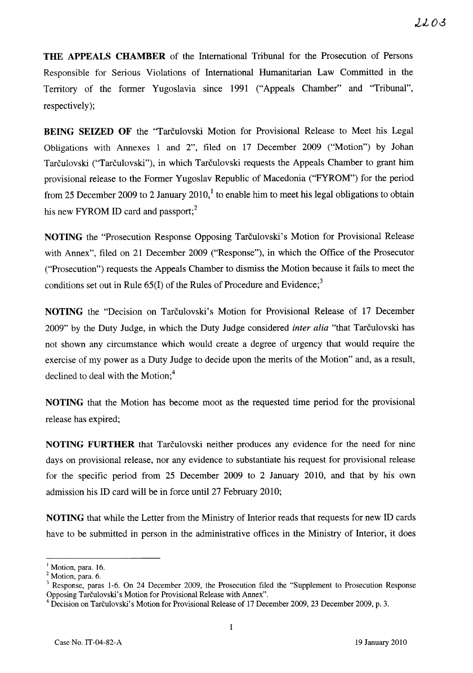**THE APPEALS CHAMBER** of the International Tribunal for the Prosecution of Persons Responsible for Serious Violations of International Humanitarian Law Committed in the Territory of the former Yugoslavia since 1991 ("Appeals Chamber" and "Tribunal", respectively);

**BEING SEIZED OF** the "Tarčulovski Motion for Provisional Release to Meet his Legal Obligations with Annexes l and 2", filed on 17 December 2009 ("Motion") by Johan Tarčulovski ("Tarčulovski"), in which Tarčulovski requests the Appeals Chamber to grant him provisional release to the Former Yugoslav Republic of Macedonia ("FYROM") for the period from 25 December 2009 to 2 January 2010,<sup>1</sup> to enable him to meet his legal obligations to obtain his new FYROM ID card and passport;<sup>2</sup>

**NOTING** the "Prosecution Response Opposing Tarčulovski's Motion for Provisional Release with Annex", filed on 21 December 2009 ("Response"), in which the Office of the Prosecutor ("Prosecution") requests the Appeals Chamber to disrniss the Motion because it fails to meet the conditions set out in Rule  $65(I)$  of the Rules of Procedure and Evidence;<sup>3</sup>

**NOTING** the "Decision on Tarčulovski's Motion for Provisional Release of 17 December 2009" by the Duty Judge, in which the Duty Judge considered *inter alia* "that Tarčulovski has not shown any circumstance which would create a degree of urgency that would require the exercise of my power as a Duty Judge to decide upon the merits of the Motion" and, as a result, declined to deal with the Motion; $<sup>4</sup>$ </sup>

**NOTING** that the Motion has become moot as the requested time period for the provisional release has expired;

**NOTING FURTHER** that Tarčulovski neither produces any evidence for the need for nine days on provisional release, nor any evidence to substantiate his request for provisional release for the specific period from 25 December 2009 to 2 January 2010, and that by his own admission his ID card will be in force until 27 February 2010;

**NOTING** that while the Letter from the Ministry of Interior reads that requests for new ID cards have to be submitted in person in the administrative offices in the Ministry of Interior, it does

<sup>&</sup>lt;sup>1</sup> Motion, para. 16.

<sup>&</sup>lt;sup>2</sup> Motion, para. 6.

<sup>&</sup>lt;sup>3</sup> Response, paras 1-6. On 24 December 2009, the Prosecution filed the "Supplement to Prosecution Response Opposing Tarčulovski's Motion for Provisional Release with Annex".

<sup>4</sup>Decision on Tarčulovski's Motion for Provisional Release of 17 December 2009,23 December 2009, p. 3.